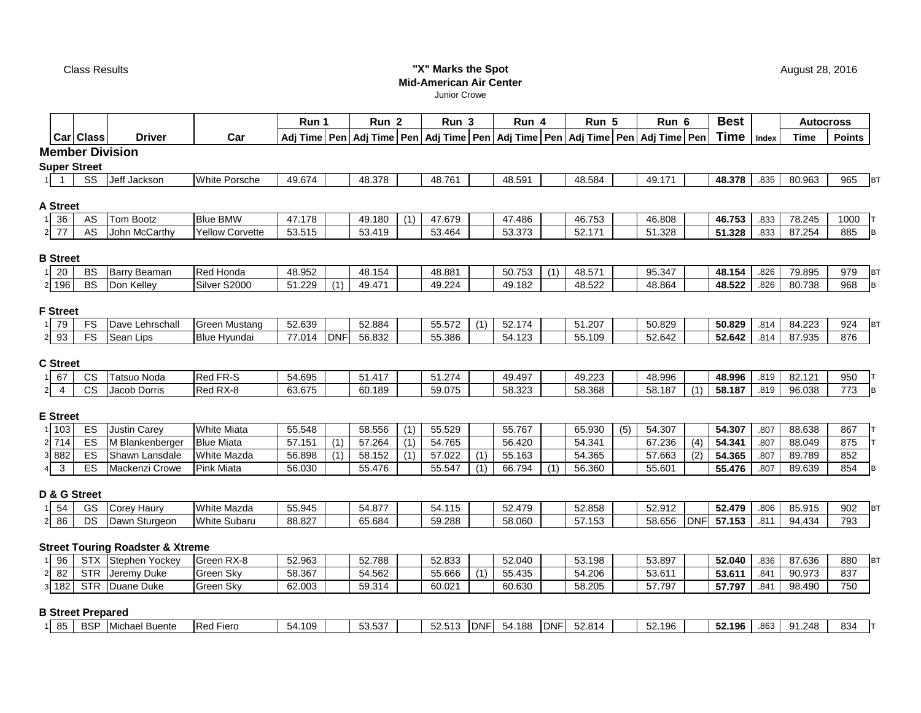Class Results

# **"X" Marks the Spot Mid-American Air Center**

Junior Crowe

|                         |                 |                          |                                             |                                  | Run 1            |            | Run <sub>2</sub>                                                                           |     | Run <sub>3</sub> |            | Run 4            |            | Run 5            |     | Run 6            |            | <b>Best</b>      |              |                  | <b>Autocross</b>        |
|-------------------------|-----------------|--------------------------|---------------------------------------------|----------------------------------|------------------|------------|--------------------------------------------------------------------------------------------|-----|------------------|------------|------------------|------------|------------------|-----|------------------|------------|------------------|--------------|------------------|-------------------------|
|                         |                 | <b>Car Class</b>         | <b>Driver</b>                               | Car                              |                  |            | Adj Time Pen Adj Time Pen Adj Time Pen Adj Time Pen Adj Time Pen Adj Time Pen Adj Time Pen |     |                  |            |                  |            |                  |     |                  |            | Time             | Index        | <b>Time</b>      | <b>Points</b>           |
|                         |                 |                          | <b>Member Division</b>                      |                                  |                  |            |                                                                                            |     |                  |            |                  |            |                  |     |                  |            |                  |              |                  |                         |
|                         |                 | <b>Super Street</b>      |                                             |                                  |                  |            |                                                                                            |     |                  |            |                  |            |                  |     |                  |            |                  |              |                  |                         |
|                         | $\overline{1}$  | <b>SS</b>                | Jeff Jackson                                | <b>White Porsche</b>             | 49.674           |            | 48.378                                                                                     |     | 48.761           |            | 48.591           |            | 48.584           |     | 49.171           |            | 48.378           | .835         | 80.963           | 965<br><b>BT</b>        |
|                         |                 |                          |                                             |                                  |                  |            |                                                                                            |     |                  |            |                  |            |                  |     |                  |            |                  |              |                  |                         |
|                         | <b>A</b> Street |                          |                                             |                                  |                  |            |                                                                                            |     |                  |            |                  |            |                  |     |                  |            |                  |              |                  |                         |
| 1 36                    |                 | AS                       | Tom Bootz                                   | <b>Blue BMW</b>                  | 47.178           |            | 49.180                                                                                     | (1) | 47.679           |            | 47.486           |            | 46.753           |     | 46.808           |            | 46.753           | .833         | 78.245           | 1000                    |
| $2 \overline{77}$       |                 | A <sub>S</sub>           | John McCarthy                               | <b>Yellow Corvette</b>           | 53.515           |            | 53.419                                                                                     |     | 53.464           |            | 53.373           |            | 52.171           |     | 51.328           |            | 51.328           | .833         | 87.254           | 885                     |
|                         | <b>B</b> Street |                          |                                             |                                  |                  |            |                                                                                            |     |                  |            |                  |            |                  |     |                  |            |                  |              |                  |                         |
| 11                      | 20              | <b>BS</b>                | Barry Beaman                                | Red Honda                        | 48.952           |            | 48.154                                                                                     |     | 48.881           |            | 50.753           | (1)        | 48.571           |     | 95.347           |            | 48.154           | .826         | 79.895           | 979                     |
| 2 196                   |                 | <b>BS</b>                | Don Kelley                                  | Silver S2000                     | 51.229           | (1)        | 49.471                                                                                     |     | 49.224           |            | 49.182           |            | 48.522           |     | 48.864           |            | 48.522           | .826         | 80.738           | B<br>968                |
|                         |                 |                          |                                             |                                  |                  |            |                                                                                            |     |                  |            |                  |            |                  |     |                  |            |                  |              |                  |                         |
|                         | <b>F</b> Street |                          |                                             |                                  |                  |            |                                                                                            |     |                  |            |                  |            |                  |     |                  |            |                  |              |                  |                         |
| 1 79                    |                 | FS<br><b>FS</b>          | Dave Lehrschall                             | Green Mustang                    | 52.639           | <b>DNF</b> | 52.884                                                                                     |     | 55.572           | (1)        | 52.174           |            | 51.207           |     | 50.829           |            | 50.829           | .814         | 84.223           | 924                     |
| 2 9 3                   |                 |                          | Sean Lips                                   | <b>Blue Hyundai</b>              | 77.014           |            | 56.832                                                                                     |     | 55.386           |            | 54.123           |            | 55.109           |     | 52.642           |            | 52.642           | .814         | 87.935           | 876                     |
|                         | <b>C</b> Street |                          |                                             |                                  |                  |            |                                                                                            |     |                  |            |                  |            |                  |     |                  |            |                  |              |                  |                         |
| 11                      | 67              | CS                       | Tatsuo Noda                                 | Red FR-S                         | 54.695           |            | 51.417                                                                                     |     | 51.274           |            | 49.497           |            | 49.223           |     | 48.996           |            | 48.996           | .819         | 82.121           | 950                     |
| $\overline{2}$          | $\overline{4}$  | $\overline{\text{cs}}$   | Jacob Dorris                                | Red RX-8                         | 63.675           |            | 60.189                                                                                     |     | 59.075           |            | 58.323           |            | 58.368           |     | 58.187           | (1)        | 58.187           | .819         | 96.038           | 773<br>B                |
|                         |                 |                          |                                             |                                  |                  |            |                                                                                            |     |                  |            |                  |            |                  |     |                  |            |                  |              |                  |                         |
|                         | <b>E</b> Street |                          |                                             |                                  |                  |            |                                                                                            |     |                  |            |                  |            |                  |     |                  |            |                  |              |                  |                         |
| 1 103                   |                 | ES                       | Justin Carey                                | <b>White Miata</b>               | 55.548           |            | 58.556                                                                                     | (1) | 55.529           |            | 55.767           |            | 65.930           | (5) | 54.307           |            | 54.307           | .807         | 88.638           | 867                     |
| 2 714                   |                 | ES<br>ES                 | M Blankenberger<br>Shawn Lansdale           | <b>Blue Miata</b><br>White Mazda | 57.151           | (1)<br>(1) | 57.264                                                                                     | (1) | 54.765           |            | 56.420           |            | 54.341           |     | 67.236<br>57.663 | (4)        | 54.341<br>54.365 | .807<br>.807 | 88.049<br>89.789 | 875<br>852              |
| 3 882<br>$\overline{4}$ | $\mathbf{3}$    | ES                       | Mackenzi Crowe                              | Pink Miata                       | 56.898<br>56.030 |            | 58.152<br>55.476                                                                           | (1) | 57.022<br>55.547 | (1)<br>(1) | 55.163<br>66.794 | (1)        | 54.365<br>56.360 |     | 55.601           | (2)        | 55.476           | .807         | 89.639           | 854                     |
|                         |                 |                          |                                             |                                  |                  |            |                                                                                            |     |                  |            |                  |            |                  |     |                  |            |                  |              |                  |                         |
|                         |                 | D & G Street             |                                             |                                  |                  |            |                                                                                            |     |                  |            |                  |            |                  |     |                  |            |                  |              |                  |                         |
| 11                      | 54              | GS                       | <b>Corey Haury</b>                          | White Mazda                      | 55.945           |            | 54.877                                                                                     |     | 54.115           |            | 52.479           |            | 52.858           |     | 52.912           |            | 52.479           | .806         | 85.915           | 902                     |
| $2 \overline{86}$       |                 | DS                       | Dawn Sturgeon                               | <b>White Subaru</b>              | 88.827           |            | 65.684                                                                                     |     | 59.288           |            | 58.060           |            | 57.153           |     | 58.656           | <b>DNF</b> | 57.153           | .811         | 94.434           | 793                     |
|                         |                 |                          |                                             |                                  |                  |            |                                                                                            |     |                  |            |                  |            |                  |     |                  |            |                  |              |                  |                         |
|                         | 96              |                          | <b>Street Touring Roadster &amp; Xtreme</b> | Green RX-8                       |                  |            |                                                                                            |     |                  |            |                  |            |                  |     |                  |            |                  |              |                  |                         |
| $\overline{2}$          | 82              | <b>STR</b>               | STX Stephen Yockey<br>Jeremy Duke           | Green Sky                        | 52.963<br>58.367 |            | 52.788<br>54.562                                                                           |     | 52.833<br>55.666 | (1)        | 52.040<br>55.435 |            | 53.198<br>54.206 |     | 53.897<br>53.611 |            | 52.040<br>53.611 | .836<br>.841 | 87.636<br>90.973 | 880<br><b>BT</b><br>837 |
| 3 182                   |                 | <b>STR</b>               | Duane Duke                                  | Green Sky                        | 62.003           |            | 59.314                                                                                     |     | 60.021           |            | 60.630           |            | 58.205           |     | 57.797           |            | 57.797           | .841         | 98.490           | 750                     |
|                         |                 |                          |                                             |                                  |                  |            |                                                                                            |     |                  |            |                  |            |                  |     |                  |            |                  |              |                  |                         |
|                         |                 | <b>B Street Prepared</b> |                                             |                                  |                  |            |                                                                                            |     |                  |            |                  |            |                  |     |                  |            |                  |              |                  |                         |
|                         | 85              |                          | <b>BSP</b> Michael Buente                   | <b>Red Fiero</b>                 | 54.109           |            | 53.537                                                                                     |     | 52.513           | <b>DNF</b> | 54.188           | <b>DNF</b> | 52.814           |     | 52.196           |            | 52.196           | .863         | 91.248           | 834                     |

August 28, 2016